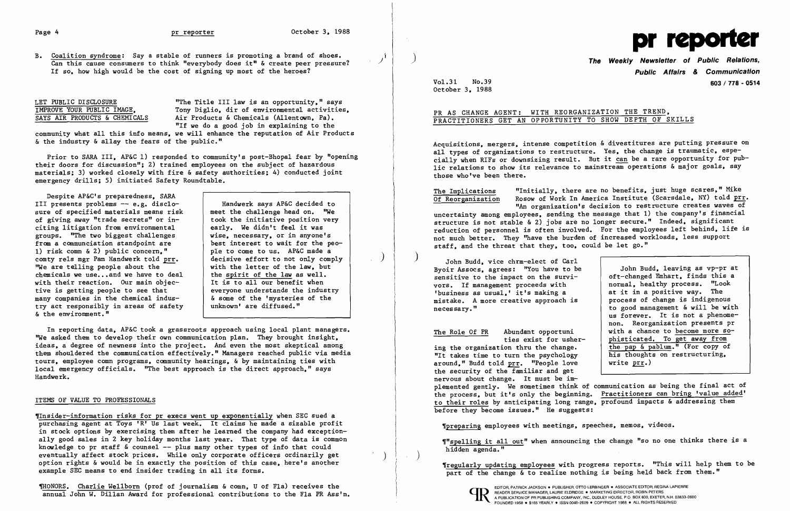## Page 4

|  | LET PUBLIC DISCLOSURE |                               |
|--|-----------------------|-------------------------------|
|  |                       | IMPROVE YOUR PUBLIC IMAGE.    |
|  |                       | SAYS AIR PRODUCTS & CHEMICALS |

### pr reporter

"The Title III law is an opportunity." says Tony Diglio. dir of environmental activities. Air Products & Chemicals (Allentown, Pa). "If we do a good job in explaining to the

community what all this info means. we will enhance the reputation of Air Products & the industry & allay the fears of the public."

Prior to SARA III. AP&C 1) responded to community's post-Bhopal fear by "opening their doors for discussion"; 2) trained employees on the subject of hazardous materials; 3) worked closely with fire & safety authorities; 4) conducted joint emergency drills; 5) initiated Safety Roundtable.

In reporting data, AP&C took a grassroots approach using local plant managers. ''We asked them to develop their own communication plan. They brought insight. ideas. a degree of newness into the project. And even the most skeptical among them shouldered the communication effectively." Managers reached public via media tours. employee comn programs. community hearings. & by maintaining ties with local emergency officials. "The best approach is the direct approach." says Handwerk.

Despite AP&C's preparedness. SARA III presents problems -- e.g. disclosure of specified materials means risk of giving away "trade secrets" or inciting litigation from environmental groups. "The two biggest challenges from a communciation standpoint are 1) risk comn & 2) public concern." comty rels mgr Pam Handwerk told prr. ''We are telling people about the chemicals we use... and we have to deal with their reaction. Our main objective is getting people to see that many companies in the chemical industry act responsibly in areas of safety & the environment."

**The Weekly Newsletter of Public Relations, Public Affairs & Communication**  Vol.31 No.39 **603/ 778 - 0514** 

Handwerk says AP&C decided to meet the challenge head on. ''We took the initiative position very early. We didn't feel it was wise. necessary. or in anyone's best interest to wait for the people to come to us. AP&C made a decisive effort to not only comply with the letter of the law. but the spirit of the law as well. It is to all our benefit when everyone understands the industry & some of the 'mysteries of the unknown' are diffused. "

The Implications "Initially. there are no benefits. just huge scares." Mike Rosow of Work In America Institute (Scarsdale, NY) told prr. "An organization's decision to rest ructure creates waves of uncertainty among employees. sending the message that 1) the company's financial structure is not stable & 2) jobs are no longer secure." Indeed, significant reduction of personnel is often involved. For the employees left behind. life is not much better. They "have the burden of increased workloads, less support staff, and the threat that they, too, could be let go."

> John Budd. leaving as vp-pr at oft-changed Emhart. finds this a normal. healthy process. "Look at it in a positive way. The process of change is indigenous to good management & will be with us forever. It is not a phenomenon. Reorganization presents pr with a chance to become more so-

## ITEMS OF VALUE TO PROFESSIONALS

'''spelling it all out" when announcing the change "so no one thinks there is a hidden agenda."

'Insider-information risks for pr execs went up exponentially when SEC sued a purchasing agent at Toys 'R' Us last week. It claims he made a sizable profit in stock options by exercising them after he learned the company had exceptionally good sales in 2 key holiday months last year. That type of data is common knowledge to pr staff  $\&$  counsel  $-$ - plus many other types of info that could eventually affect stock prices. While only corporate officers ordinarily get option rights & would be in exactly the position of this case. here's another example SEC means to end insider trading in all its forms.

THONORS. Charlie Wellborn (prof of journalism & comn, U of Fla) receives the Manuel And Developed Comp. The DELITOR, PATRICK JACKSON. PUBLISHER, OTTO LERBINGER • ASSOCIATE EDITOR, REGINA LAPIERRE (AURE CLORIDGE • MARKETING annual John W. Dillan Award for professional contributions to the Fla PR Ass'n.<br>A PUBLICATION OF PRIBLICATION OF PRIBLICATION OF PRIBLICATION OF PRIBLICATION OF PRIBLICATION OF PRIBLICATION OF PRIBLICATION OF PRIBLICATION

i

 $\big)$ 



October 3. 1988

## PR AS CHANGE AGENT: WITH REORGANIZATION THE TREND. PRACTITIONERS GET AN OPPORTUNITY TO SHOW DEPTH OF SKILLS

Acquisitions. mergers. intense competition & divestitures are putting pressure on all types of organizations to restructure. Yes, the change is traumatic, especially when RIFs or downsizing result. But it can be a rare opportunity for public relations to show its relevance to mainstream operations & major goals, say those who've been there.

) John Budd. vice chrm-elect of Carl Byoir Assocs, agrees: "You have to be sensitive to the impact on the survivors. If management proceeds with 'business as usual.' it's making a mistake. A more creative approach is necessary. "

The Role Of PR Abundant opportuni ties exist for ushering the organization thru the change. "It takes time to turn the psychology around." Budd told prr. "People love the security of the familiar and get nervous about change. It must be imphisticated. To get away from the pap & pablum." (For copy of his thoughts on restructuring. write prr.) plemented gently. We sometimes think of communication as being the final act of the process. but it's only the beginning. Practitioners can bring 'value added' to their roles by anticipating long range. profound impacts & addressing them before they become issues." He suggests:

'preparing employees with meetings. speeches. memos. videos.

'regularly updating employees with progress reports. "This will help them to be part of the change & to realize nothing is being held back from them."



)

B. Coalition syndrome: Say a stable of runners is promoting a brand of shoes. Can this cause consumers to think "everybody does it" & create peer pressure? If so, how high would be the cost of signing up most of the heroes?